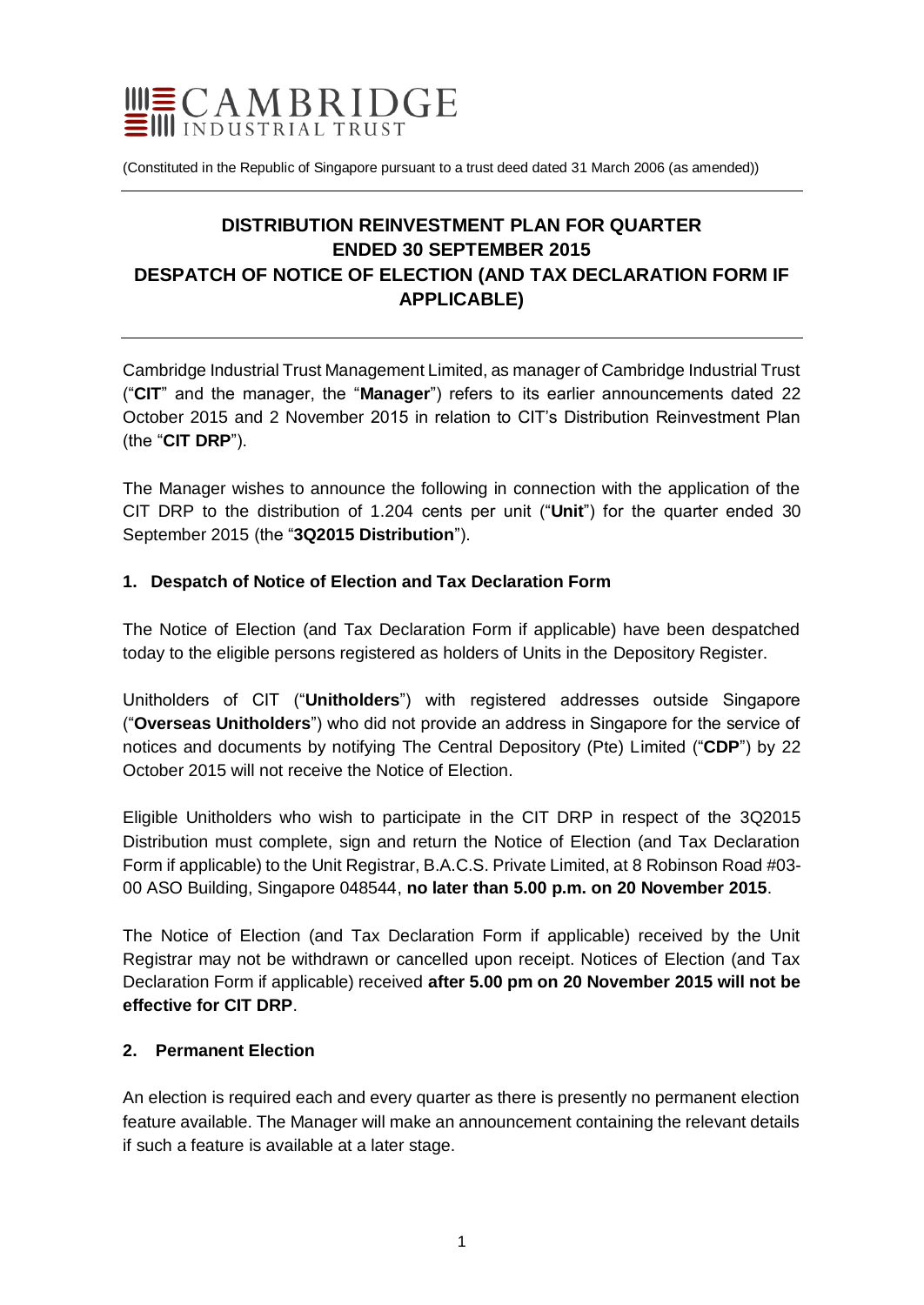

(Constituted in the Republic of Singapore pursuant to a trust deed dated 31 March 2006 (as amended))

# **DISTRIBUTION REINVESTMENT PLAN FOR QUARTER ENDED 30 SEPTEMBER 2015 DESPATCH OF NOTICE OF ELECTION (AND TAX DECLARATION FORM IF APPLICABLE)**

Cambridge Industrial Trust Management Limited, as manager of Cambridge Industrial Trust ("**CIT**" and the manager, the "**Manager**") refers to its earlier announcements dated 22 October 2015 and 2 November 2015 in relation to CIT's Distribution Reinvestment Plan (the "**CIT DRP**").

The Manager wishes to announce the following in connection with the application of the CIT DRP to the distribution of 1.204 cents per unit ("**Unit**") for the quarter ended 30 September 2015 (the "**3Q2015 Distribution**").

# **1. Despatch of Notice of Election and Tax Declaration Form**

The Notice of Election (and Tax Declaration Form if applicable) have been despatched today to the eligible persons registered as holders of Units in the Depository Register.

Unitholders of CIT ("**Unitholders**") with registered addresses outside Singapore ("**Overseas Unitholders**") who did not provide an address in Singapore for the service of notices and documents by notifying The Central Depository (Pte) Limited ("**CDP**") by 22 October 2015 will not receive the Notice of Election.

Eligible Unitholders who wish to participate in the CIT DRP in respect of the 3Q2015 Distribution must complete, sign and return the Notice of Election (and Tax Declaration Form if applicable) to the Unit Registrar, B.A.C.S. Private Limited, at 8 Robinson Road #03- 00 ASO Building, Singapore 048544, **no later than 5.00 p.m. on 20 November 2015**.

The Notice of Election (and Tax Declaration Form if applicable) received by the Unit Registrar may not be withdrawn or cancelled upon receipt. Notices of Election (and Tax Declaration Form if applicable) received **after 5.00 pm on 20 November 2015 will not be effective for CIT DRP**.

## **2. Permanent Election**

An election is required each and every quarter as there is presently no permanent election feature available. The Manager will make an announcement containing the relevant details if such a feature is available at a later stage.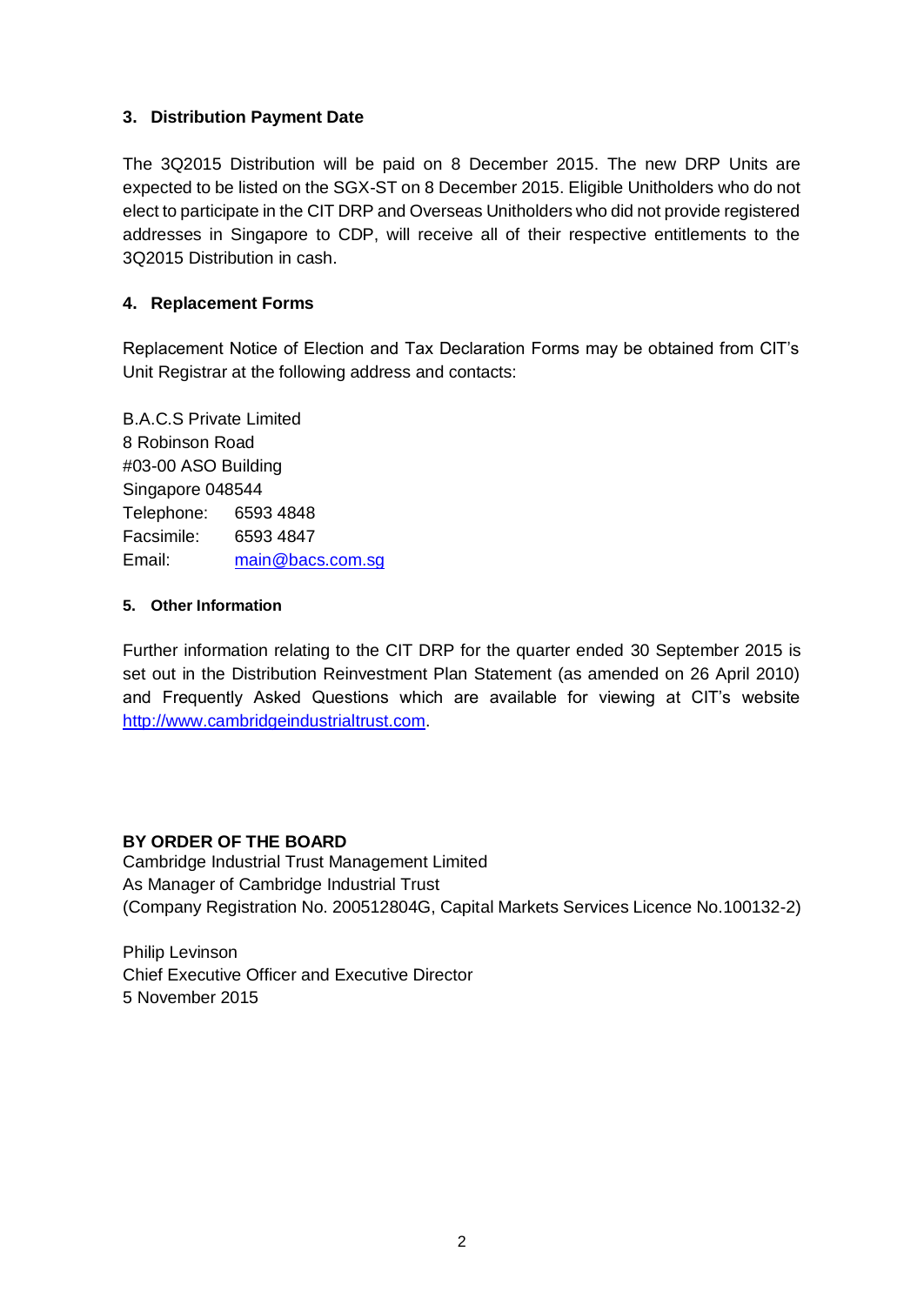# **3. Distribution Payment Date**

The 3Q2015 Distribution will be paid on 8 December 2015. The new DRP Units are expected to be listed on the SGX-ST on 8 December 2015. Eligible Unitholders who do not elect to participate in the CIT DRP and Overseas Unitholders who did not provide registered addresses in Singapore to CDP, will receive all of their respective entitlements to the 3Q2015 Distribution in cash.

# **4. Replacement Forms**

Replacement Notice of Election and Tax Declaration Forms may be obtained from CIT's Unit Registrar at the following address and contacts:

B.A.C.S Private Limited 8 Robinson Road #03-00 ASO Building Singapore 048544 Telephone: 6593 4848 Facsimile: 6593 4847 Email: [main@bacs.com.sg](mailto:main@bacs.com.sg) 

## **5. Other Information**

Further information relating to the CIT DRP for the quarter ended 30 September 2015 is set out in the Distribution Reinvestment Plan Statement (as amended on 26 April 2010) and Frequently Asked Questions which are available for viewing at CIT's website [http://www.cambridgeindustrialtrust.com.](http://www.cambridgeindustrialtrust.com/)

# **BY ORDER OF THE BOARD**

Cambridge Industrial Trust Management Limited As Manager of Cambridge Industrial Trust (Company Registration No. 200512804G, Capital Markets Services Licence No.100132-2)

Philip Levinson Chief Executive Officer and Executive Director 5 November 2015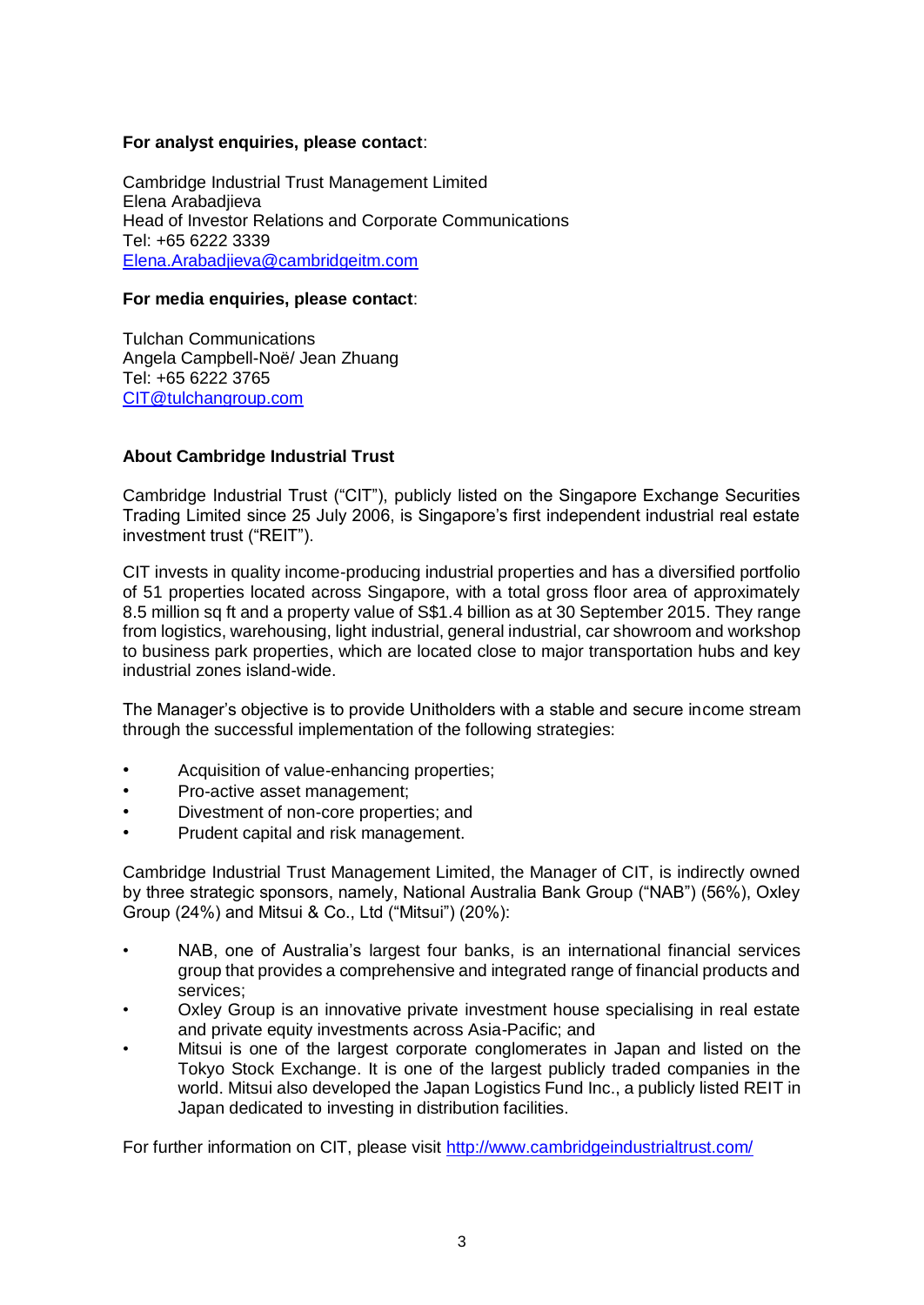## **For analyst enquiries, please contact**:

Cambridge Industrial Trust Management Limited Elena Arabadjieva Head of Investor Relations and Corporate Communications Tel: +65 6222 3339 [Elena.Arabadjieva@cambridgeitm.com](mailto:Elena.Arabadjieva@cambridgeitm.com)

#### **For media enquiries, please contact**:

Tulchan Communications Angela Campbell-Noë/ Jean Zhuang Tel: +65 6222 3765 CIT@tulchangroup.com

## **About Cambridge Industrial Trust**

Cambridge Industrial Trust ("CIT"), publicly listed on the Singapore Exchange Securities Trading Limited since 25 July 2006, is Singapore's first independent industrial real estate investment trust ("REIT").

CIT invests in quality income-producing industrial properties and has a diversified portfolio of 51 properties located across Singapore, with a total gross floor area of approximately 8.5 million sq ft and a property value of S\$1.4 billion as at 30 September 2015. They range from logistics, warehousing, light industrial, general industrial, car showroom and workshop to business park properties, which are located close to major transportation hubs and key industrial zones island-wide.

The Manager's objective is to provide Unitholders with a stable and secure income stream through the successful implementation of the following strategies:

- Acquisition of value-enhancing properties;
- Pro-active asset management:
- Divestment of non-core properties; and
- Prudent capital and risk management.

Cambridge Industrial Trust Management Limited, the Manager of CIT, is indirectly owned by three strategic sponsors, namely, National Australia Bank Group ("NAB") (56%), Oxley Group (24%) and Mitsui & Co., Ltd ("Mitsui") (20%):

- NAB, one of Australia's largest four banks, is an international financial services group that provides a comprehensive and integrated range of financial products and services;
- Oxley Group is an innovative private investment house specialising in real estate and private equity investments across Asia-Pacific; and
- Mitsui is one of the largest corporate conglomerates in Japan and listed on the Tokyo Stock Exchange. It is one of the largest publicly traded companies in the world. Mitsui also developed the Japan Logistics Fund Inc., a publicly listed REIT in Japan dedicated to investing in distribution facilities.

For further information on CIT, please visit<http://www.cambridgeindustrialtrust.com/>